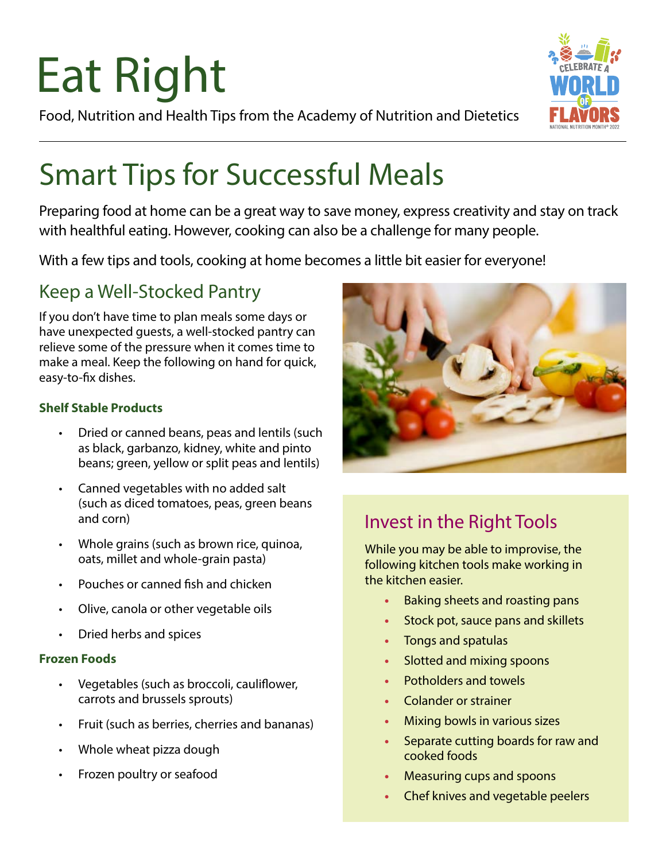# Eat Right

Food, Nutrition and Health Tips from the Academy of Nutrition and Dietetics



### Smart Tips for Successful Meals

Preparing food at home can be a great way to save money, express creativity and stay on track with healthful eating. However, cooking can also be a challenge for many people.

With a few tips and tools, cooking at home becomes a little bit easier for everyone!

#### Keep a Well-Stocked Pantry

If you don't have time to plan meals some days or have unexpected guests, a well-stocked pantry can relieve some of the pressure when it comes time to make a meal. Keep the following on hand for quick, easy-to-fix dishes.

#### **Shelf Stable Products**

- Dried or canned beans, peas and lentils (such as black, garbanzo, kidney, white and pinto beans; green, yellow or split peas and lentils)
- Canned vegetables with no added salt (such as diced tomatoes, peas, green beans and corn)
- Whole grains (such as brown rice, quinoa, oats, millet and whole-grain pasta)
- Pouches or canned fish and chicken
- Olive, canola or other vegetable oils
- Dried herbs and spices

#### **Frozen Foods**

- Vegetables (such as broccoli, cauliflower, carrots and brussels sprouts)
- Fruit (such as berries, cherries and bananas)
- Whole wheat pizza dough
- Frozen poultry or seafood



#### Invest in the Right Tools

While you may be able to improvise, the following kitchen tools make working in the kitchen easier.

- **•** Baking sheets and roasting pans
- **•** Stock pot, sauce pans and skillets
- **•** Tongs and spatulas
- **•** Slotted and mixing spoons
- **•** Potholders and towels
- **•** Colander or strainer
- **•** Mixing bowls in various sizes
- **•** Separate cutting boards for raw and cooked foods
- **•** Measuring cups and spoons
- **•** Chef knives and vegetable peelers